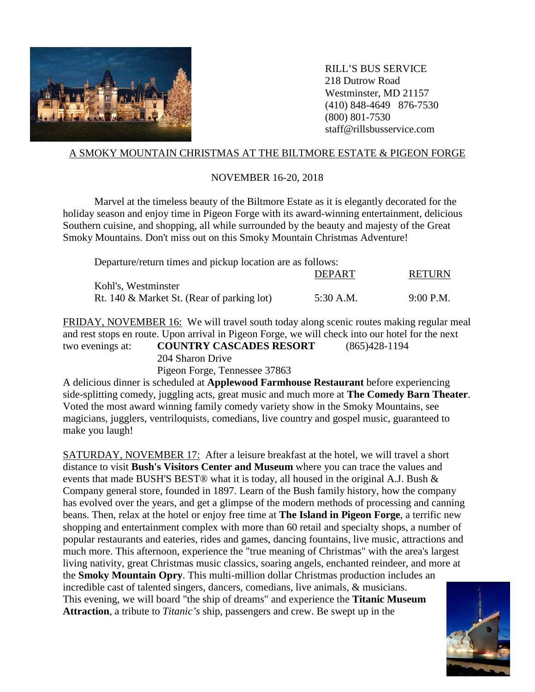

RILL'S BUS SERVICE 218 Dutrow Road Westminster, MD 21157 (410) 848-4649 876-7530 (800) 801-7530 staff@rillsbusservice.com

## A SMOKY MOUNTAIN CHRISTMAS AT THE BILTMORE ESTATE & PIGEON FORGE

## NOVEMBER 16-20, 2018

Marvel at the timeless beauty of the Biltmore Estate as it is elegantly decorated for the holiday season and enjoy time in Pigeon Forge with its award-winning entertainment, delicious Southern cuisine, and shopping, all while surrounded by the beauty and majesty of the Great Smoky Mountains. Don't miss out on this Smoky Mountain Christmas Adventure!

| Departure/return times and pickup location are as follows: |               |               |
|------------------------------------------------------------|---------------|---------------|
|                                                            | <b>DEPART</b> | <b>RETURN</b> |
| Kohl's, Westminster                                        |               |               |
| Rt. 140 & Market St. (Rear of parking lot)                 | 5:30 A.M.     | $9:00$ P.M.   |

FRIDAY, NOVEMBER 16: We will travel south today along scenic routes making regular meal and rest stops en route. Upon arrival in Pigeon Forge, we will check into our hotel for the next two evenings at: **COUNTRY CASCADES RESORT** (865)428-1194 204 Sharon Drive

Pigeon Forge, Tennessee 37863

A delicious dinner is scheduled at **Applewood Farmhouse Restaurant** before experiencing side-splitting comedy, juggling acts, great music and much more at **The Comedy Barn Theater**. Voted the most award winning family comedy variety show in the Smoky Mountains, see magicians, jugglers, ventriloquists, comedians, live country and gospel music, guaranteed to make you laugh!

SATURDAY, NOVEMBER 17: After a leisure breakfast at the hotel, we will travel a short distance to visit **Bush's Visitors Center and Museum** where you can trace the values and events that made BUSH'S BEST® what it is today, all housed in the original A.J. Bush  $\&$ Company general store, founded in 1897. Learn of the Bush family history, how the company has evolved over the years, and get a glimpse of the modern methods of processing and canning beans. Then, relax at the hotel or enjoy free time at **The Island in Pigeon Forge**, a terrific new shopping and entertainment complex with more than 60 retail and specialty shops, a number of popular restaurants and eateries, rides and games, dancing fountains, live music, attractions and much more. This afternoon, experience the "true meaning of Christmas" with the area's largest living nativity, great Christmas music classics, soaring angels, enchanted reindeer, and more at the **Smoky Mountain Opry**. This multi-million dollar Christmas production includes an incredible cast of talented singers, dancers, comedians, live animals, & musicians. This evening, we will board "the ship of dreams" and experience the **Titanic Museum Attraction**, a tribute to *Titanic's* ship, passengers and crew. Be swept up in the

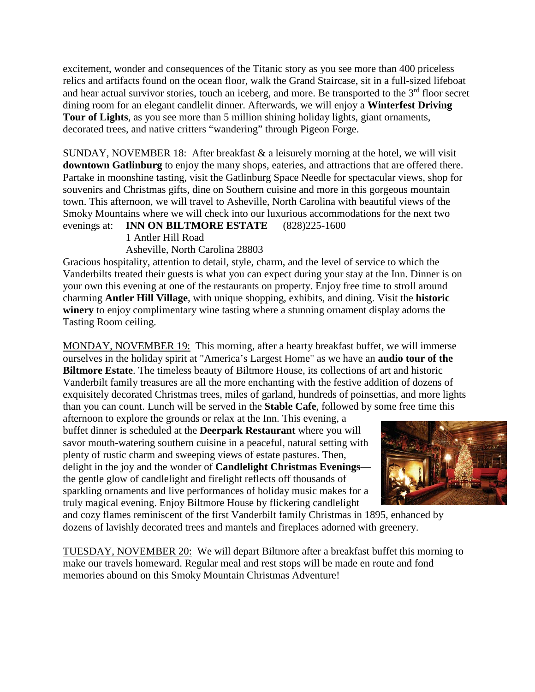excitement, wonder and consequences of the Titanic story as you see more than 400 priceless relics and artifacts found on the ocean floor, walk the Grand Staircase, sit in a full-sized lifeboat and hear actual survivor stories, touch an iceberg, and more. Be transported to the 3<sup>rd</sup> floor secret dining room for an elegant candlelit dinner. Afterwards, we will enjoy a **Winterfest Driving Tour of Lights**, as you see more than 5 million shining holiday lights, giant ornaments, decorated trees, and native critters "wandering" through Pigeon Forge.

SUNDAY, NOVEMBER 18: After breakfast & a leisurely morning at the hotel, we will visit **downtown Gatlinburg** to enjoy the many shops, eateries, and attractions that are offered there. Partake in moonshine tasting, visit the Gatlinburg Space Needle for spectacular views, shop for souvenirs and Christmas gifts, dine on Southern cuisine and more in this gorgeous mountain town. This afternoon, we will travel to Asheville, North Carolina with beautiful views of the Smoky Mountains where we will check into our luxurious accommodations for the next two evenings at: **INN ON BILTMORE ESTATE** (828)225-1600

1 Antler Hill Road

Asheville, North Carolina 28803

Gracious hospitality, attention to detail, style, charm, and the level of service to which the Vanderbilts treated their guests is what you can expect during your stay at the Inn. Dinner is on your own this evening at one of the restaurants on property. Enjoy free time to stroll around charming **Antler Hill Village**, with unique shopping, exhibits, and dining. Visit the **historic winery** to enjoy complimentary wine tasting where a stunning ornament display adorns the Tasting Room ceiling.

MONDAY, NOVEMBER 19: This morning, after a hearty breakfast buffet, we will immerse ourselves in the holiday spirit at "America's Largest Home" as we have an **audio tour of the Biltmore Estate**. The timeless beauty of Biltmore House, its collections of art and historic Vanderbilt family treasures are all the more enchanting with the festive addition of dozens of exquisitely decorated Christmas trees, miles of garland, hundreds of poinsettias, and more lights than you can count. Lunch will be served in the **Stable Cafe**, followed by some free time this

afternoon to explore the grounds or relax at the Inn. This evening, a buffet dinner is scheduled at the **Deerpark Restaurant** where you will savor mouth-watering southern cuisine in a peaceful, natural setting with plenty of rustic charm and sweeping views of estate pastures. Then, delight in the joy and the wonder of **Candlelight Christmas Evenings** the gentle glow of candlelight and firelight reflects off thousands of sparkling ornaments and live performances of holiday music makes for a truly magical evening. Enjoy Biltmore House by flickering candlelight



and cozy flames reminiscent of the first Vanderbilt family Christmas in 1895, enhanced by dozens of lavishly decorated trees and mantels and fireplaces adorned with greenery.

TUESDAY, NOVEMBER 20: We will depart Biltmore after a breakfast buffet this morning to make our travels homeward. Regular meal and rest stops will be made en route and fond memories abound on this Smoky Mountain Christmas Adventure!